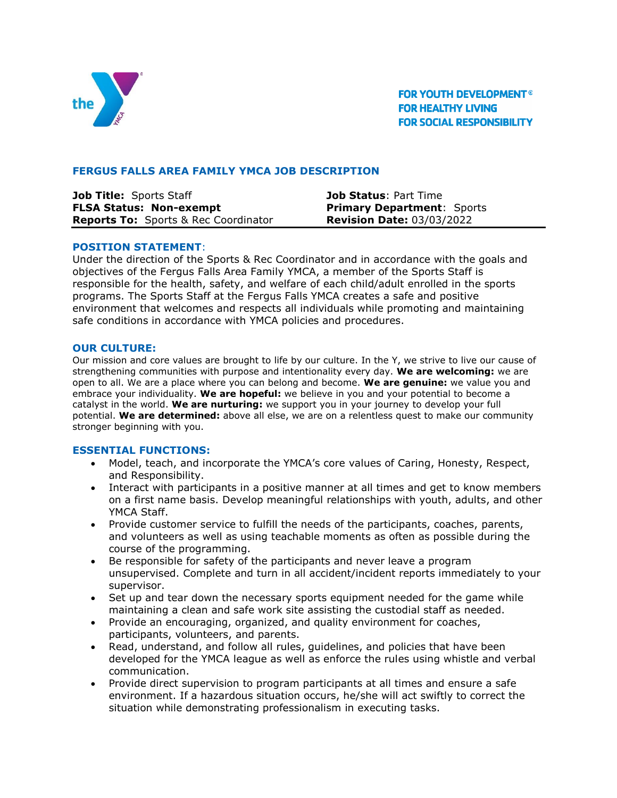

**FOR YOUTH DEVELOPMENT® FOR HEALTHY LIVING FOR SOCIAL RESPONSIBILITY** 

# **FERGUS FALLS AREA FAMILY YMCA JOB DESCRIPTION**

| Job Title: Sports Staff                     | <b>Job Status: Part Time</b>      |
|---------------------------------------------|-----------------------------------|
| <b>FLSA Status: Non-exempt</b>              | <b>Primary Department: Sports</b> |
| <b>Reports To:</b> Sports & Rec Coordinator | <b>Revision Date: 03/03/2022</b>  |

### **POSITION STATEMENT**:

Under the direction of the Sports & Rec Coordinator and in accordance with the goals and objectives of the Fergus Falls Area Family YMCA, a member of the Sports Staff is responsible for the health, safety, and welfare of each child/adult enrolled in the sports programs. The Sports Staff at the Fergus Falls YMCA creates a safe and positive environment that welcomes and respects all individuals while promoting and maintaining safe conditions in accordance with YMCA policies and procedures.

### **OUR CULTURE:**

Our mission and core values are brought to life by our culture. In the Y, we strive to live our cause of strengthening communities with purpose and intentionality every day. **We are welcoming:** we are open to all. We are a place where you can belong and become. **We are genuine:** we value you and embrace your individuality. **We are hopeful:** we believe in you and your potential to become a catalyst in the world. **We are nurturing:** we support you in your journey to develop your full potential. **We are determined:** above all else, we are on a relentless quest to make our community stronger beginning with you.

#### **ESSENTIAL FUNCTIONS:**

- Model, teach, and incorporate the YMCA's core values of Caring, Honesty, Respect, and Responsibility.
- Interact with participants in a positive manner at all times and get to know members on a first name basis. Develop meaningful relationships with youth, adults, and other YMCA Staff.
- Provide customer service to fulfill the needs of the participants, coaches, parents, and volunteers as well as using teachable moments as often as possible during the course of the programming.
- Be responsible for safety of the participants and never leave a program unsupervised. Complete and turn in all accident/incident reports immediately to your supervisor.
- Set up and tear down the necessary sports equipment needed for the game while maintaining a clean and safe work site assisting the custodial staff as needed.
- Provide an encouraging, organized, and quality environment for coaches, participants, volunteers, and parents.
- Read, understand, and follow all rules, guidelines, and policies that have been developed for the YMCA league as well as enforce the rules using whistle and verbal communication.
- Provide direct supervision to program participants at all times and ensure a safe environment. If a hazardous situation occurs, he/she will act swiftly to correct the situation while demonstrating professionalism in executing tasks.